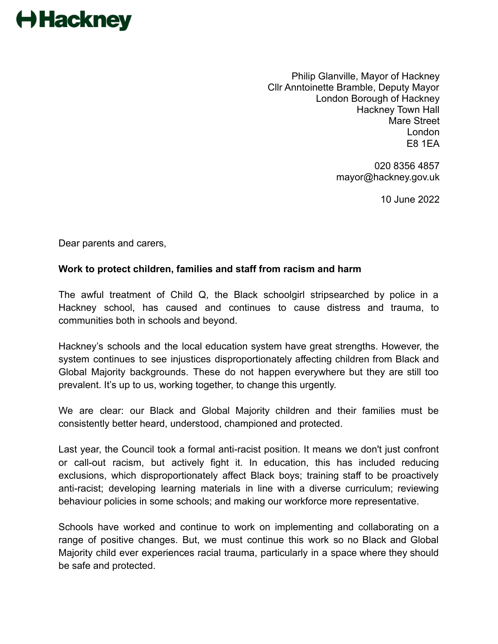## **← Hackney**

Philip Glanville, Mayor of Hackney Cllr Anntoinette Bramble, Deputy Mayor London Borough of Hackney Hackney Town Hall Mare Street London E8 1EA

> 020 8356 4857 mayor@hackney.gov.uk

> > 10 June 2022

Dear parents and carers,

## **Work to protect children, families and staff from racism and harm**

The awful treatment of Child Q, the Black schoolgirl stripsearched by police in a Hackney school, has caused and continues to cause distress and trauma, to communities both in schools and beyond.

Hackney's schools and the local education system have great strengths. However, the system continues to see injustices disproportionately affecting children from Black and Global Majority backgrounds. These do not happen everywhere but they are still too prevalent. It's up to us, working together, to change this urgently.

We are clear: our Black and Global Majority children and their families must be consistently better heard, understood, championed and protected.

Last year, the Council took a formal anti-racist position. It means we don't just confront or call-out racism, but actively fight it. In education, this has included reducing exclusions, which disproportionately affect Black boys; training staff to be proactively anti-racist; developing learning materials in line with a diverse curriculum; reviewing behaviour policies in some schools; and making our workforce more representative.

Schools have worked and continue to work on implementing and collaborating on a range of positive changes. But, we must continue this work so no Black and Global Majority child ever experiences racial trauma, particularly in a space where they should be safe and protected.